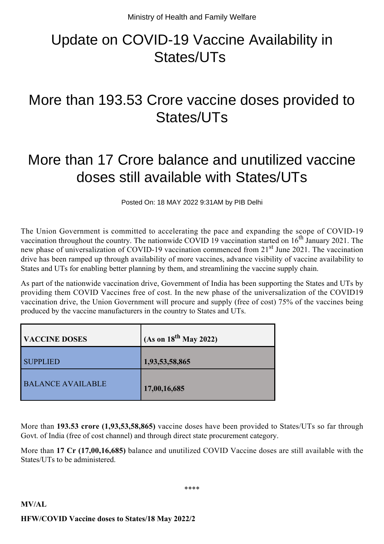## Update on COVID-19 Vaccine Availability in States/UTs

## More than 193.53 Crore vaccine doses provided to States/UTs

## More than 17 Crore balance and unutilized vaccine doses still available with States/UTs

Posted On: 18 MAY 2022 9:31AM by PIB Delhi

The Union Government is committed to accelerating the pace and expanding the scope of COVID-19 vaccination throughout the country. The nationwide COVID 19 vaccination started on  $16<sup>th</sup>$  January 2021. The new phase of universalization of COVID-19 vaccination commenced from 21<sup>st</sup> June 2021. The vaccination drive has been ramped up through availability of more vaccines, advance visibility of vaccine availability to States and UTs for enabling better planning by them, and streamlining the vaccine supply chain.

As part of the nationwide vaccination drive, Government of India has been supporting the States and UTs by providing them COVID Vaccines free of cost. In the new phase of the universalization of the COVID19 vaccination drive, the Union Government will procure and supply (free of cost) 75% of the vaccines being produced by the vaccine manufacturers in the country to States and UTs.

| <b>VACCINE DOSES</b>     | (As on $18^{th}$ May 2022) |
|--------------------------|----------------------------|
| <b>SUPPLIED</b>          | 1,93,53,58,865             |
| <b>BALANCE AVAILABLE</b> | 17,00,16,685               |

More than **193.53 crore (1,93,53,58,865)** vaccine doses have been provided to States/UTs so far through Govt. of India (free of cost channel) and through direct state procurement category.

More than **17 Cr (17,00,16,685)** balance and unutilized COVID Vaccine doses are still available with the States/UTs to be administered.

\*\*\*\*

## **MV/AL HFW/COVID Vaccine doses to States/18 May 2022/2**